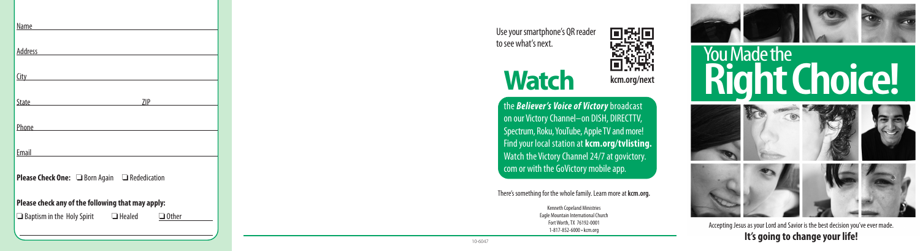

Use your smartphone's QR reader to see what's next.

# **Watch**

the *Believer's Voice of Victory* broadcast on our Victory Channel–on DISH, DIRECTTV, Spectrum, Roku, YouTube, Apple TV and more! Find your local station at **kcm.org/tvlisting.** Watch the Victory Channel 24/7 at govictory. com or with the GoVictory mobile app.

#### There's something for the whole family. Learn more at **kcm.org.**

Kenneth Copeland Ministries Eagle Mountain International Church Fort Worth, TX 76192-0001 1-817-852-6000 • kcm.org





You Made the

Accepting Jesus as your Lord and Savior is the best decision you've ever made. **It's going to change your life!**

**Right Choice!**